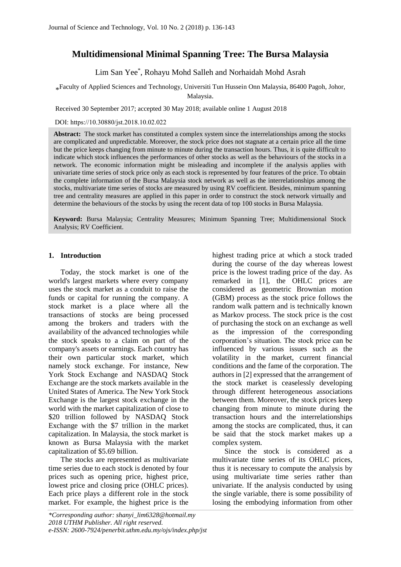# **Multidimensional Minimal Spanning Tree: The Bursa Malaysia**

Lim San Yee\* , Rohayu Mohd Salleh and Norhaidah Mohd Asrah

\* Faculty of Applied Sciences and Technology, Universiti Tun Hussein Onn Malaysia, 86400 Pagoh, Johor, Malaysia.

Received 30 September 2017; accepted 30 May 2018; available online 1 August 2018

DOI: https://10.30880/jst.2018.10.02.022

**Abstract:** The stock market has constituted a complex system since the interrelationships among the stocks are complicated and unpredictable. Moreover, the stock price does not stagnate at a certain price all the time but the price keeps changing from minute to minute during the transaction hours. Thus, it is quite difficult to indicate which stock influences the performances of other stocks as well as the behaviours of the stocks in a network. The economic information might be misleading and incomplete if the analysis applies with univariate time series of stock price only as each stock is represented by four features of the price. To obtain the complete information of the Bursa Malaysia stock network as well as the interrelationships among the stocks, multivariate time series of stocks are measured by using RV coefficient. Besides, minimum spanning tree and centrality measures are applied in this paper in order to construct the stock network virtually and determine the behaviours of the stocks by using the recent data of top 100 stocks in Bursa Malaysia.

**Keyword:** Bursa Malaysia; Centrality Measures; Minimum Spanning Tree; Multidimensional Stock Analysis; RV Coefficient.

# **1. Introduction**

Today, the stock market is one of the world's largest markets where every company uses the stock market as a conduit to raise the funds or capital for running the company. A stock market is a place where all the transactions of stocks are being processed among the brokers and traders with the availability of the advanced technologies while the stock speaks to a claim on part of the company's assets or earnings. Each country has their own particular stock market, which namely stock exchange. For instance, New York Stock Exchange and NASDAQ Stock Exchange are the stock markets available in the United States of America. The New York Stock Exchange is the largest stock exchange in the world with the market capitalization of close to \$20 trillion followed by NASDAQ Stock Exchange with the \$7 trillion in the market capitalization. In Malaysia, the stock market is known as Bursa Malaysia with the market capitalization of \$5.69 billion.

The stocks are represented as multivariate time series due to each stock is denoted by four prices such as opening price, highest price, lowest price and closing price (OHLC prices). Each price plays a different role in the stock market. For example, the highest price is the

highest trading price at which a stock traded during the course of the day whereas lowest price is the lowest trading price of the day. As remarked in [1], the OHLC prices are considered as geometric Brownian motion (GBM) process as the stock price follows the random walk pattern and is technically known as Markov process. The stock price is the cost of purchasing the stock on an exchange as well as the impression of the corresponding corporation's situation. The stock price can be influenced by various issues such as the volatility in the market, current financial conditions and the fame of the corporation. The authors in [2] expressed that the arrangement of the stock market is ceaselessly developing through different heterogeneous associations between them. Moreover, the stock prices keep changing from minute to minute during the transaction hours and the interrelationships among the stocks are complicated, thus, it can be said that the stock market makes up a complex system.

Since the stock is considered as a multivariate time series of its OHLC prices, thus it is necessary to compute the analysis by using multivariate time series rather than univariate. If the analysis conducted by using the single variable, there is some possibility of losing the embodying information from other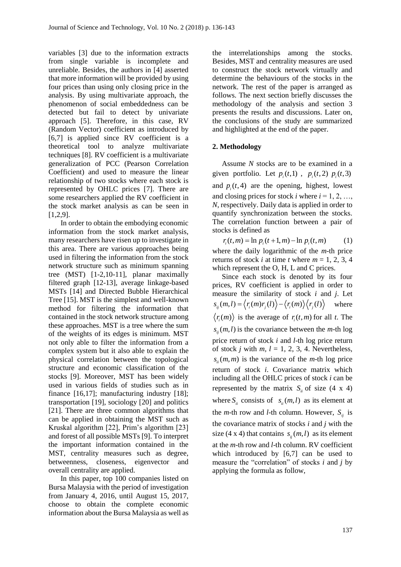variables [3] due to the information extracts from single variable is incomplete and unreliable. Besides, the authors in [4] asserted that more information will be provided by using four prices than using only closing price in the analysis. By using multivariate approach, the phenomenon of social embeddedness can be detected but fail to detect by univariate approach [5]. Therefore, in this case, RV (Random Vector) coefficient as introduced by [6,7] is applied since RV coefficient is a theoretical tool to analyze multivariate techniques [8]. RV coefficient is a multivariate generalization of PCC (Pearson Correlation Coefficient) and used to measure the linear relationship of two stocks where each stock is represented by OHLC prices [7]. There are some researchers applied the RV coefficient in the stock market analysis as can be seen in [1,2,9].

In order to obtain the embodying economic information from the stock market analysis, many researchers have risen up to investigate in this area. There are various approaches being used in filtering the information from the stock network structure such as minimum spanning tree (MST) [1-2,10-11], planar maximally filtered graph [12-13], average linkage-based MSTs [14] and Directed Bubble Hierarchical Tree [15]. MST is the simplest and well-known method for filtering the information that contained in the stock network structure among these approaches. MST is a tree where the sum of the weights of its edges is minimum. MST not only able to filter the information from a complex system but it also able to explain the physical correlation between the topological structure and economic classification of the stocks [9]. Moreover, MST has been widely used in various fields of studies such as in finance [16,17]; manufacturing industry [18]; transportation [19], sociology [20] and politics [21]. There are three common algorithms that can be applied in obtaining the MST such as Kruskal algorithm [22], Prim's algorithm [23] and forest of all possible MSTs [9]. To interpret the important information contained in the MST, centrality measures such as degree, betweenness, closeness, eigenvector and overall centrality are applied.

In this paper, top 100 companies listed on Bursa Malaysia with the period of investigation from January 4, 2016, until August 15, 2017, choose to obtain the complete economic information about the Bursa Malaysia as well as

the interrelationships among the stocks. Besides, MST and centrality measures are used to construct the stock network virtually and determine the behaviours of the stocks in the network. The rest of the paper is arranged as follows. The next section briefly discusses the methodology of the analysis and section 3 presents the results and discussions. Later on, the conclusions of the study are summarized and highlighted at the end of the paper.

# **2. Methodology**

Assume *N* stocks are to be examined in a given portfolio. Let  $p_i(t,1)$ ,  $p_i(t,2)$ ,  $p_i(t,3)$ and  $p_i(t, 4)$  are the opening, highest, lowest and closing prices for stock  $i$  where  $i = 1, 2, \ldots$ , *N*, respectively. Daily data is applied in order to quantify synchronization between the stocks. The correlation function between a pair of stocks is defined as

 $r_i(t, m) = \ln p_i(t + 1, m) - \ln p_i(t, m)$  (1)

where the daily logarithmic of the *m*-th price returns of stock *i* at time *t* where  $m = 1, 2, 3, 4$ which represent the O, H, L and C prices.

Since each stock is denoted by its four prices, RV coefficient is applied in order to measure the similarity of stock *i* and *j*. Let  $s_{ij}(m,l) = \langle r_i(m)r_j(l) \rangle - \langle r_i(m) \rangle \langle r_j(l) \rangle$ where  $\langle r_i(m) \rangle$  is the average of  $r_i(t,m)$  for all t. The  $s_{ij}(m, l)$  is the covariance between the *m*-th log price return of stock *i* and *l*-th log price return of stock *j* with  $m, l = 1, 2, 3, 4$ . Nevertheless,  $s_{ii}(m, m)$  is the variance of the *m*-th log price return of stock *i*. Covariance matrix which including all the OHLC prices of stock *i* can be represented by the matrix  $S_{ii}$  of size (4 x 4) where  $S_{ii}$  consists of  $s_{ii}(m, l)$  as its element at the *m*-th row and *l*-th column. However,  $S_{ij}$  is the covariance matrix of stocks *i* and *j* with the size (4 x 4) that contains  $s_{ij}(m, l)$  as its element at the *m*-th row and *l*-th column. RV coefficient which introduced by [6,7] can be used to measure the "correlation" of stocks *i* and *j* by applying the formula as follow,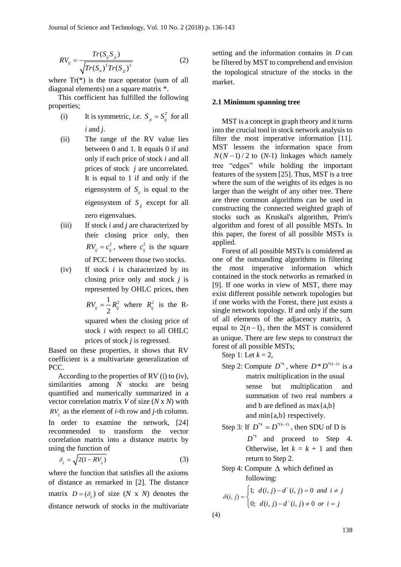$$
RV_{ij} = \frac{Tr(S_{ij}S_{ji})}{\sqrt{Tr(S_{ii})^2 Tr(S_{jj})^2}}
$$
 (2)

where  $Tr(*)$  is the trace operator (sum of all diagonal elements) on a square matrix \*.

This coefficient has fulfilled the following properties;

- (i) It is symmetric, *i.e.*  $S_{ji} = S_{ij}^T$  for all *i* and *j*.
- (ii) The range of the RV value lies between 0 and 1. It equals 0 if and only if each price of stock *i* and all prices of stock *j* are uncorrelated. It is equal to 1 if and only if the eigensystem of  $S_{ii}$  is equal to the eigensystem of  $S_{ij}$  except for all zero eigenvalues.
- (iii) If stock *i* and *j* are characterized by their closing price only, then  $RV_{ij} = c_{ij}^2$ , where  $c_{ij}^2$  is the square of PCC between those two stocks.
- (iv) If stock *i* is characterized by its closing price only and stock *j* is represented by OHLC prices, then

$$
RV_{ij} = \frac{1}{2} R_{ij}^2
$$
 where  $R_{ij}^2$  is the R-

squared when the closing price of stock *i* with respect to all OHLC prices of stock *j* is regressed.

Based on these properties, it shows that RV coefficient is a multivariate generalization of PCC.

According to the properties of RV (i) to (iv), similarities among *N* stocks are being quantified and numerically summarized in a vector correlation matrix *V* of size (*N* x *N*) with  $RV_{ij}$  as the element of *i*-th row and *j*-th column.

In order to examine the network, [24] recommended to transform the vector correlation matrix into a distance matrix by using the function of

$$
\delta_{ij} = \sqrt{2(1 - RV_{ij})} \tag{3}
$$

where the function that satisfies all the axioms of distance as remarked in [2]. The distance matrix  $D = (\delta_{ij})$  of size (*N* x *N*) denotes the distance network of stocks in the multivariate

setting and the information contains in *D* can be filtered by MST to comprehend and envision the topological structure of the stocks in the market.

#### **2.1 Minimum spanning tree**

MST is a concept in graph theory and it turns into the crucial tool in stock network analysis to filter the most imperative information [11]. MST lessens the information space from  $N(N-1)/2$  to  $(N-1)$  linkages which namely tree "edges" while holding the important features of the system [25]. Thus, MST is a tree where the sum of the weights of its edges is no larger than the weight of any other tree. There are three common algorithms can be used in constructing the connected weighted graph of stocks such as Kruskal's algorithm, Prim's algorithm and forest of all possible MSTs. In this paper, the forest of all possible MSTs is applied.

Forest of all possible MSTs is considered as one of the outstanding algorithms in filtering the most imperative information which contained in the stock networks as remarked in [9]. If one works in view of MST, there may exist different possible network topologies but if one works with the Forest, there just exists a single network topology. If and only if the sum of all elements of the adjacency matrix,  $\Delta$ equal to  $2(n-1)$ , then the MST is considered as unique. There are few steps to construct the forest of all possible MSTs;

Step 1: Let  $k = 2$ ,

Step 2: Compute  $D^{*k}$ , where  $D^*D^{*(k-1)}$  is a matrix multiplication in the usual sense but multiplication and summation of two real numbers a and b are defined as  $max{a,b}$ and min{a,b} respectively.

Step 3: If 
$$
D^{*k} = D^{*(k-1)}
$$
, then SDU of D is

 $D^*$  and proceed to Step 4. Otherwise, let  $k = k + 1$  and then return to Step 2.

## Step 4: Compute  $\Delta$  which defined as following:

$$
\delta(i, j) = \begin{cases} 1; & d(i, j) - d^+(i, j) = 0 \text{ and } i \neq j \\ 0; & d(i, j) - d^+(i, j) \neq 0 \text{ or } i = j \end{cases}
$$

(4)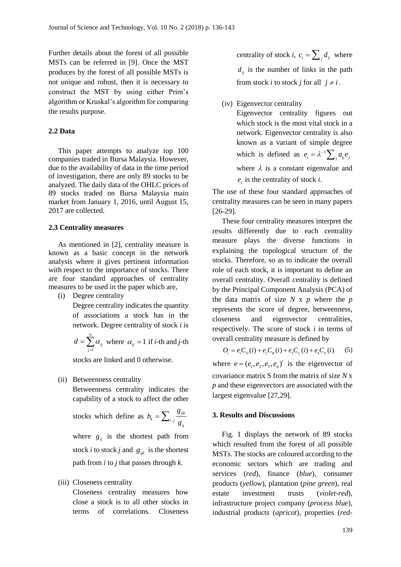Further details about the forest of all possible MSTs can be referred in [9]. Once the MST produces by the forest of all possible MSTs is not unique and robust, then it is necessary to construct the MST by using either Prim's algorithm or Kruskal's algorithm for comparing the results purpose.

# **2.2 Data**

This paper attempts to analyze top 100 companies traded in Bursa Malaysia. However, due to the availability of data in the time period of investigation, there are only 89 stocks to be analyzed. The daily data of the OHLC prices of 89 stocks traded on Bursa Malaysia main market from January 1, 2016, until August 15, 2017 are collected.

#### **2.3 Centrality measures**

As mentioned in [2], centrality measure is known as a basic concept in the network analysis where it gives pertinent information with respect to the importance of stocks. There are four standard approaches of centrality measures to be used in the paper which are,

(i) Degree centrality

Degree centrality indicates the quantity of associations a stock has in the network. Degree centrality of stock *i* is

$$
d = \sum_{j=1}^{n} \alpha_{ij}
$$
 where  $\alpha_{ij} = 1$  if *i*-th and *j*-th

stocks are linked and 0 otherwise.

(ii) Betweenness centrality

Betweenness centrality indicates the capability of a stock to affect the other

stocks which define as  $b_k = \sum_{i}$ *ijk k*  $\omega_{i,j}$   $g_{ij}$  $b = \sum \frac{g}{g}$ *g*  $=\sum$ 

where  $g_{ij}$  is the shortest path from stock *i* to stock *j* and  $g_{ijk}$  is the shortest path from *i* to *j* that passes through *k*.

## (iii) Closeness centrality

Closeness centrality measures how close a stock is to all other stocks in terms of correlations. Closeness centrality of stock *i*,  $c_i = \sum_j d_{ij}$  where  $d_{ij}$  is the number of links in the path from stock *i* to stock *j* for all  $j \neq i$ .

#### (iv) Eigenvector centrality

Eigenvector centrality figures out which stock is the most vital stock in a network. Eigenvector centrality is also known as a variant of simple degree which is defined as  $e_i = \lambda^{-1}$  $e_i = \lambda^{-1} \sum_j a_{ij} e_j$ where  $\lambda$  is a constant eigenvalue and  $e_i$  is the centrality of stock *i*.

The use of these four standard approaches of centrality measures can be seen in many papers [26-29].

These four centrality measures interpret the results differently due to each centrality measure plays the diverse functions in explaining the topological structure of the stocks. Therefore, so as to indicate the overall role of each stock, it is important to define an overall centrality. Overall centrality is defined by the Principal Component Analysis (PCA) of the data matrix of size  $N \times p$  where the  $p$ represents the score of degree, betweenness, closeness and eigenvector centralities, respectively. The score of stock *i* in terms of overall centrality measure is defined by

$$
O_i = e_1 C_D(i) + e_2 C_B(i) + e_3 C_C(i) + e_4 C_E(i) \tag{5}
$$

where  $e = (e_1, e_2, e_3, e_4)$ <sup>t</sup> is the eigenvector of covariance matrix S from the matrix of size *N* x *p* and these eigenvectors are associated with the largest eigenvalue [27,29].

#### **3. Results and Discussions**

Fig. 1 displays the network of 89 stocks which resulted from the forest of all possible MSTs. The stocks are coloured according to the economic sectors which are trading and services (*red*), finance (*blue*), consumer products (*yellow*), plantation (*pine green*), real estate investment trusts (*violet-red*), infrastructure project company (*process blue*), industrial products (*apricot*), properties (*red-*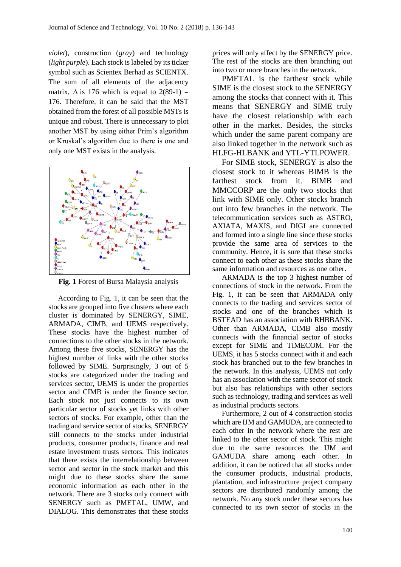*violet*), construction (*gray*) and technology (*light purple*). Each stock is labeled by its ticker symbol such as Scientex Berhad as SCIENTX. The sum of all elements of the adjacency matrix,  $\Delta$  is 176 which is equal to 2(89-1) = 176. Therefore, it can be said that the MST obtained from the forest of all possible MSTs is unique and robust. There is unnecessary to plot another MST by using either Prim's algorithm or Kruskal's algorithm due to there is one and only one MST exists in the analysis.



**Fig. 1** Forest of Bursa Malaysia analysis

According to Fig. 1, it can be seen that the stocks are grouped into five clusters where each cluster is dominated by SENERGY, SIME, ARMADA, CIMB, and UEMS respectively. These stocks have the highest number of connections to the other stocks in the network. Among these five stocks, SENERGY has the highest number of links with the other stocks followed by SIME. Surprisingly, 3 out of 5 stocks are categorized under the trading and services sector, UEMS is under the properties sector and CIMB is under the finance sector. Each stock not just connects to its own particular sector of stocks yet links with other sectors of stocks. For example, other than the trading and service sector of stocks, SENERGY still connects to the stocks under industrial products, consumer products, finance and real estate investment trusts sectors. This indicates that there exists the interrelationship between sector and sector in the stock market and this might due to these stocks share the same economic information as each other in the network. There are 3 stocks only connect with SENERGY such as PMETAL, UMW, and DIALOG. This demonstrates that these stocks

prices will only affect by the SENERGY price. The rest of the stocks are then branching out into two or more branches in the network.

PMETAL is the farthest stock while SIME is the closest stock to the SENERGY among the stocks that connect with it. This means that SENERGY and SIME truly have the closest relationship with each other in the market. Besides, the stocks which under the same parent company are also linked together in the network such as HLFG-HLBANK and YTL-YTLPOWER.

For SIME stock, SENERGY is also the closest stock to it whereas BIMB is the farthest stock from it. BIMB and MMCCORP are the only two stocks that link with SIME only. Other stocks branch out into few branches in the network. The telecommunication services such as ASTRO, AXIATA, MAXIS, and DIGI are connected and formed into a single line since these stocks provide the same area of services to the community. Hence, it is sure that these stocks connect to each other as these stocks share the same information and resources as one other.

ARMADA is the top 3 highest number of connections of stock in the network. From the Fig. 1, it can be seen that ARMADA only connects to the trading and services sector of stocks and one of the branches which is BSTEAD has an association with RHBBANK. Other than ARMADA, CIMB also mostly connects with the financial sector of stocks except for SIME and TIMECOM. For the UEMS, it has 5 stocks connect with it and each stock has branched out to the few branches in the network. In this analysis, UEMS not only has an association with the same sector of stock but also has relationships with other sectors such as technology, trading and services as well as industrial products sectors.

Furthermore, 2 out of 4 construction stocks which are IJM and GAMUDA, are connected to each other in the network where the rest are linked to the other sector of stock. This might due to the same resources the IJM and GAMUDA share among each other. In addition, it can be noticed that all stocks under the consumer products, industrial products, plantation, and infrastructure project company sectors are distributed randomly among the network. No any stock under these sectors has connected to its own sector of stocks in the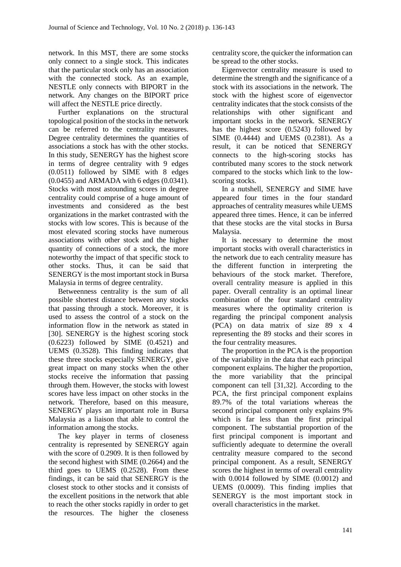network. In this MST, there are some stocks only connect to a single stock. This indicates that the particular stock only has an association with the connected stock. As an example, NESTLE only connects with BIPORT in the network. Any changes on the BIPORT price will affect the NESTLE price directly.

Further explanations on the structural topological position of the stocks in the network can be referred to the centrality measures. Degree centrality determines the quantities of associations a stock has with the other stocks. In this study, SENERGY has the highest score in terms of degree centrality with 9 edges (0.0511) followed by SIME with 8 edges (0.0455) and ARMADA with 6 edges (0.0341). Stocks with most astounding scores in degree centrality could comprise of a huge amount of investments and considered as the best organizations in the market contrasted with the stocks with low scores. This is because of the most elevated scoring stocks have numerous associations with other stock and the higher quantity of connections of a stock, the more noteworthy the impact of that specific stock to other stocks. Thus, it can be said that SENERGY is the most important stock in Bursa Malaysia in terms of degree centrality.

Betweenness centrality is the sum of all possible shortest distance between any stocks that passing through a stock. Moreover, it is used to assess the control of a stock on the information flow in the network as stated in [30]. SENERGY is the highest scoring stock (0.6223) followed by SIME (0.4521) and UEMS (0.3528). This finding indicates that these three stocks especially SENERGY, give great impact on many stocks when the other stocks receive the information that passing through them. However, the stocks with lowest scores have less impact on other stocks in the network. Therefore, based on this measure, SENERGY plays an important role in Bursa Malaysia as a liaison that able to control the information among the stocks.

The key player in terms of closeness centrality is represented by SENERGY again with the score of 0.2909. It is then followed by the second highest with SIME (0.2664) and the third goes to UEMS (0.2528). From these findings, it can be said that SENERGY is the closest stock to other stocks and it consists of the excellent positions in the network that able to reach the other stocks rapidly in order to get the resources. The higher the closeness

centrality score, the quicker the information can be spread to the other stocks.

Eigenvector centrality measure is used to determine the strength and the significance of a stock with its associations in the network. The stock with the highest score of eigenvector centrality indicates that the stock consists of the relationships with other significant and important stocks in the network. SENERGY has the highest score (0.5243) followed by SIME (0.4444) and UEMS (0.2381). As a result, it can be noticed that SENERGY connects to the high-scoring stocks has contributed many scores to the stock network compared to the stocks which link to the lowscoring stocks.

In a nutshell, SENERGY and SIME have appeared four times in the four standard approaches of centrality measures while UEMS appeared three times. Hence, it can be inferred that these stocks are the vital stocks in Bursa Malaysia.

It is necessary to determine the most important stocks with overall characteristics in the network due to each centrality measure has the different function in interpreting the behaviours of the stock market. Therefore, overall centrality measure is applied in this paper. Overall centrality is an optimal linear combination of the four standard centrality measures where the optimality criterion is regarding the principal component analysis (PCA) on data matrix of size 89 x 4 representing the 89 stocks and their scores in the four centrality measures.

The proportion in the PCA is the proportion of the variability in the data that each principal component explains. The higher the proportion, the more variability that the principal component can tell [31,32]. According to the PCA, the first principal component explains 89.7% of the total variations whereas the second principal component only explains 9% which is far less than the first principal component. The substantial proportion of the first principal component is important and sufficiently adequate to determine the overall centrality measure compared to the second principal component. As a result, SENERGY scores the highest in terms of overall centrality with 0.0014 followed by SIME (0.0012) and UEMS (0.0009). This finding implies that SENERGY is the most important stock in overall characteristics in the market.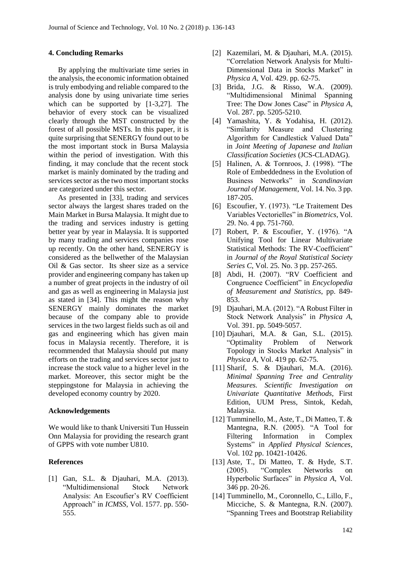## **4. Concluding Remarks**

By applying the multivariate time series in the analysis, the economic information obtained is truly embodying and reliable compared to the analysis done by using univariate time series which can be supported by [1-3,27]. The behavior of every stock can be visualized clearly through the MST constructed by the forest of all possible MSTs. In this paper, it is quite surprising that SENERGY found out to be the most important stock in Bursa Malaysia within the period of investigation. With this finding, it may conclude that the recent stock market is mainly dominated by the trading and services sector as the two most important stocks are categorized under this sector.

As presented in [33], trading and services sector always the largest shares traded on the Main Market in Bursa Malaysia. It might due to the trading and services industry is getting better year by year in Malaysia. It is supported by many trading and services companies rose up recently. On the other hand, SENERGY is considered as the bellwether of the Malaysian Oil & Gas sector. Its sheer size as a service provider and engineering company has taken up a number of great projects in the industry of oil and gas as well as engineering in Malaysia just as stated in [34]. This might the reason why SENERGY mainly dominates the market because of the company able to provide services in the two largest fields such as oil and gas and engineering which has given main focus in Malaysia recently. Therefore, it is recommended that Malaysia should put many efforts on the trading and services sector just to increase the stock value to a higher level in the market. Moreover, this sector might be the steppingstone for Malaysia in achieving the developed economy country by 2020.

## **Acknowledgements**

We would like to thank Universiti Tun Hussein Onn Malaysia for providing the research grant of GPPS with vote number U810.

## **References**

[1] Gan, S.L. & Djauhari, M.A. (2013). "Multidimensional Stock Network Analysis: An Escoufier's RV Coefficient Approach" in *ICMSS*, Vol. 1577. pp. 550- 555.

- [2] Kazemilari, M. & Djauhari, M.A. (2015). "Correlation Network Analysis for Multi-Dimensional Data in Stocks Market" in *Physica A*, Vol. 429. pp. 62-75.
- [3] Brida, J.G. & Risso, W.A. (2009). "Multidimensional Minimal Spanning Tree: The Dow Jones Case" in *Physica A*, Vol. 287. pp. 5205-5210.
- [4] Yamashita, Y. & Yodahisa, H. (2012). "Similarity Measure and Clustering Algorithm for Candlestick Valued Data" in *Joint Meeting of Japanese and Italian Classification Societies* (JCS-CLADAG).
- [5] Halinen, A. & Tornroos, J. (1998). "The Role of Embeddedness in the Evolution of Business Networks" in *Scandinavian Journal of Management*, Vol. 14. No. 3 pp. 187-205.
- [6] Escoufier, Y. (1973). "Le Traitement Des Variables Vectorielles" in *Biometrics*, Vol. 29. No. 4 pp. 751-760.
- [7] Robert, P. & Escoufier, Y. (1976). "A Unifying Tool for Linear Multivariate Statistical Methods: The RV-Coefficient" in *Journal of the Royal Statistical Society Series C*, Vol. 25. No. 3 pp. 257-265.
- [8] Abdi, H. (2007). "RV Coefficient and Congruence Coefficient" in *Encyclopedia of Measurement and Statistics*, pp. 849- 853.
- [9] Djauhari, M.A. (2012). "A Robust Filter in Stock Network Analysis" in *Physica A*, Vol. 391. pp. 5049-5057.
- [10] Djauhari, M.A. & Gan, S.L. (2015). "Optimality Problem of Network Topology in Stocks Market Analysis" in *Physica A*, Vol. 419 pp. 62-75.
- [11] Sharif, S. & Djauhari, M.A. (2016). *Minimal Spanning Tree and Centrality Measures. Scientific Investigation on Univariate Quantitative Methods*, First Edition, UUM Press, Sintok, Kedah, Malaysia.
- [12] Tumminello, M., Aste, T., Di Matteo, T. & Mantegna, R.N. (2005). "A Tool for Filtering Information in Complex Systems" in *Applied Physical Sciences*, Vol. 102 pp. 10421-10426.
- [13] Aste, T., Di Matteo, T. & Hyde, S.T. (2005). "Complex Networks on Hyperbolic Surfaces" in *Physica A*, Vol. 346 pp. 20-26.
- [14] Tumminello, M., Coronnello, C., Lillo, F., Micciche, S. & Mantegna, R.N. (2007). "Spanning Trees and Bootstrap Reliability